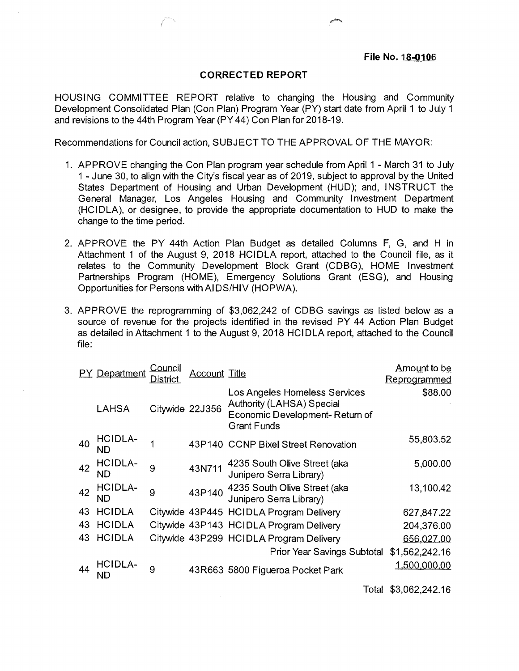**File No. 18-0106**

## **CORRECTED REPORT**

HOUSING COMMITTEE REPORT relative to changing the Housing and Community Development Consolidated Plan (Con Plan) Program Year (PY) start date from April <sup>1</sup> to July <sup>1</sup> and revisions to the 44th Program Year (PY44) Con Plan for 2018-19.

Recommendations for Council action, SUBJECT TO THE APPROVAL OF THE MAYOR:

- 1. APPROVE changing the Con Plan program year schedule from April <sup>1</sup> March 31 to July <sup>1</sup> - June 30, to align with the City's fiscal year as of 2019, subject to approval by the United States Department of Housing and Urban Development (HUD); and, INSTRUCT the General Manager, Los Angeles Housing and Community Investment Department (HCIDLA), or designee, to provide the appropriate documentation to HUD to make the change to the time period.
- 2. APPROVE the PY 44th Action Plan Budget as detailed Columns F, G, and H in Attachment <sup>1</sup> of the August 9, 2018 HCIDLA report, attached to the Council file, as it relates to the Community Development Block Grant (CDBG), HOME Investment Partnerships Program (HOME), Emergency Solutions Grant (ESG), and Housing Opportunities for Persons with AIDS/HIV (HOPWA).
- 3. APPROVE the reprogramming of \$3,062,242 of CDBG savings as listed below as a source of revenue for the projects identified in the revised PY 44 Action Plan Budget as detailed in Attachment <sup>1</sup> to the August 9, 2018 HCIDLA report, attached to the Council file:

| Los Angeles Homeless Services<br><b>Authority (LAHSA) Special</b><br>Citywide 22J356<br>LAHSA<br>Economic Development-Return of<br><b>Grant Funds</b><br><b>HCIDLA-</b><br>40<br>43P140 CCNP Bixel Street Renovation<br>ND<br>HCIDLA-<br>4235 South Olive Street (aka<br>Junipero Serra Library)<br>43N711<br>9<br>42<br>ND<br>HCIDLA-<br>43P140 4235 South Olive Street (aka<br>Junipero Serra Library)<br>9<br>42<br>ND.<br><b>HCIDLA</b><br>43<br>Citywide 43P445 HCIDLA Program Delivery<br><b>HCIDLA</b><br>43<br>Citywide 43P143 HCIDLA Program Delivery<br>HCIDLA<br>Citywide 43P299 HCIDLA Program Delivery<br>43<br><b>Prior Year Savings Subtotal</b><br>HCIDLA-<br>9<br>43R663 5800 Figueroa Pocket Park | <b>PY</b> Department | <u>Council</u> | <b>Account Title</b> | Amount to be        |
|---------------------------------------------------------------------------------------------------------------------------------------------------------------------------------------------------------------------------------------------------------------------------------------------------------------------------------------------------------------------------------------------------------------------------------------------------------------------------------------------------------------------------------------------------------------------------------------------------------------------------------------------------------------------------------------------------------------------|----------------------|----------------|----------------------|---------------------|
|                                                                                                                                                                                                                                                                                                                                                                                                                                                                                                                                                                                                                                                                                                                     |                      |                |                      | <u>Reprogrammed</u> |
|                                                                                                                                                                                                                                                                                                                                                                                                                                                                                                                                                                                                                                                                                                                     |                      |                |                      | \$88.00             |
|                                                                                                                                                                                                                                                                                                                                                                                                                                                                                                                                                                                                                                                                                                                     |                      |                |                      | 55,803.52           |
|                                                                                                                                                                                                                                                                                                                                                                                                                                                                                                                                                                                                                                                                                                                     |                      |                |                      | 5,000.00            |
|                                                                                                                                                                                                                                                                                                                                                                                                                                                                                                                                                                                                                                                                                                                     |                      |                |                      | 13,100.42           |
|                                                                                                                                                                                                                                                                                                                                                                                                                                                                                                                                                                                                                                                                                                                     |                      |                |                      | 627,847.22          |
|                                                                                                                                                                                                                                                                                                                                                                                                                                                                                                                                                                                                                                                                                                                     |                      |                |                      | 204,376.00          |
|                                                                                                                                                                                                                                                                                                                                                                                                                                                                                                                                                                                                                                                                                                                     |                      |                |                      | 656,027.00          |
|                                                                                                                                                                                                                                                                                                                                                                                                                                                                                                                                                                                                                                                                                                                     |                      |                |                      | \$1,562,242.16      |
|                                                                                                                                                                                                                                                                                                                                                                                                                                                                                                                                                                                                                                                                                                                     |                      |                |                      | 1,500,000.00        |

Total \$3,062,242.16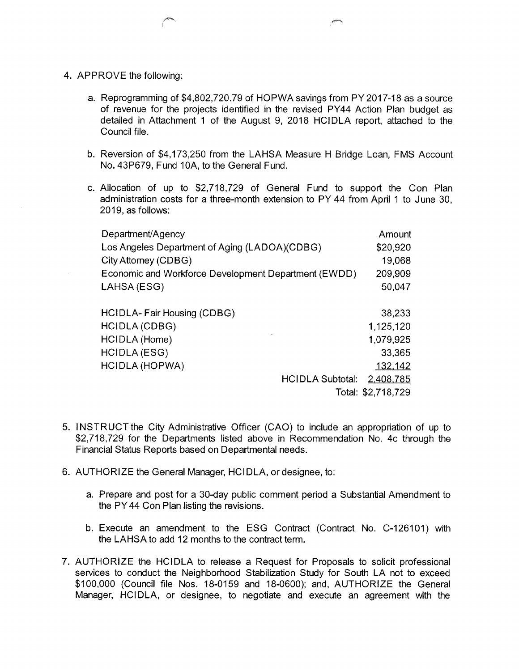- 4. APPROVE the following:
	- a. Reprogramming of \$4,802,720.79 of HOPWA savings from PY 2017-18 as a source of revenue for the projects identified in the revised PY44 Action Plan budget as detailed in Attachment <sup>1</sup> of the August 9, 2018 HCIDLA report, attached to the Council file.

 $\epsilon_{\rm{max}}$  , and the state of the state of the state of the state of the state of the state of the state of

- b. Reversion of \$4,173,250 from the LAHSA Measure H Bridge Loan, FMS Account No. 43P679, Fund 10A, to the General Fund.
- c. Allocation of up to \$2,718,729 of General Fund to support the Con Plan administration costs for a three-month extension to PY 44 from April <sup>1</sup> to June 30, 2019, as follows:

| Department/Agency                                    | Amount             |
|------------------------------------------------------|--------------------|
| Los Angeles Department of Aging (LADOA)(CDBG)        | \$20,920           |
| City Attorney (CDBG)                                 | 19,068             |
| Economic and Workforce Development Department (EWDD) | 209,909            |
| LAHSA (ESG)                                          | 50,047             |
|                                                      |                    |
| <b>HCIDLA-Fair Housing (CDBG)</b>                    | 38,233             |
| <b>HCIDLA (CDBG)</b>                                 | 1,125,120          |
| HCIDLA (Home)                                        | 1,079,925          |
| <b>HCIDLA (ESG)</b>                                  | 33,365             |
| HCIDLA (HOPWA)                                       | 132.142            |
| <b>HCIDLA Subtotal:</b>                              | 2,408,785          |
|                                                      | Total: \$2,718,729 |

- 5. INSTRUCT the City Administrative Officer (CAO) to include an appropriation of up to \$2,718,729 for the Departments listed above in Recommendation No. 4c through the Financial Status Reports based on Departmental needs.
- 6. AUTHORIZE the General Manager, HCIDLA, or designee, to:
	- a. Prepare and post for a 30-day public comment period a Substantial Amendment to the PY44 Con Plan listing the revisions.
	- b. Execute an amendment to the ESG Contract (Contract No. C-126101) with the LAHSA to add 12 months to the contract term.
- 7. AUTHORIZE the HCIDLA to release a Request for Proposals to solicit professional services to conduct the Neighborhood Stabilization Study for South LA not to exceed \$100,000 (Council file Nos. 18-0159 and 18-0600); and, AUTHORIZE the General Manager, HCIDLA, or designee, to negotiate and execute an agreement with the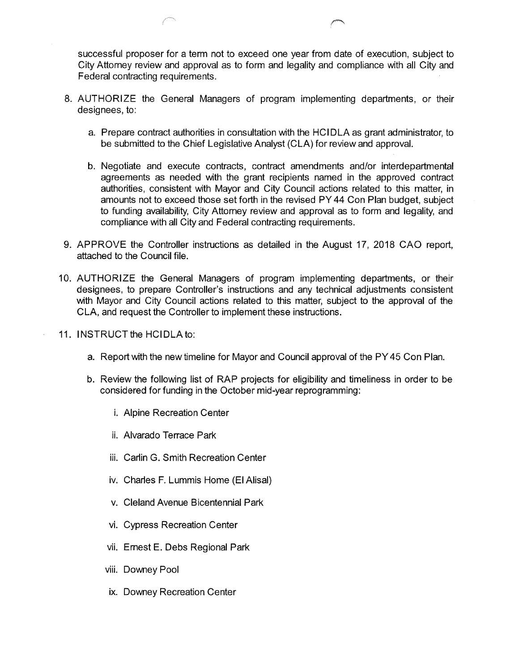successful proposer for a term not to exceed one year from date of execution, subject to City Attorney review and approval as to form and legality and compliance with all City and Federal contracting requirements.

- 8. AUTHORIZE the General Managers of program implementing departments, or their designees, to:
	- a. Prepare contract authorities in consultation with the HCIDLA as grant administrator, to be submitted to the Chief Legislative Analyst (CLA) for review and approval.
	- b. Negotiate and execute contracts, contract amendments and/or interdepartmental agreements as needed with the grant recipients named in the approved contract authorities, consistent with Mayor and City Council actions related to this matter, in amounts not to exceed those set forth in the revised PY 44 Con Plan budget, subject to funding availability, City Attorney review and approval as to form and legality, and compliance with all City and Federal contracting requirements.
- 9. APPROVE the Controller instructions as detailed in the August 17, 2018 CAO report, attached to the Council file.
- 10. AUTHORIZE the General Managers of program implementing departments, or their designees, to prepare Controller's instructions and any technical adjustments consistent with Mayor and City Council actions related to this matter, subject to the approval of the CLA, and request the Controller to implement these instructions.
- 11. INSTRUCT the HCIDLA to:
	- a. Report with the new timeline for Mayor and Council approval of the PY45 Con Plan.
	- b. Review the following list of RAP projects for eligibility and timeliness in order to be considered for funding in the October mid-year reprogramming:
		- i. Alpine Recreation Center
		- Alvarado Terrace Park
		- iii. Carlin G. Smith Recreation Center
		- **IV.** Charles F. Lummis Home (El Alisal)
		- v. Cleland Avenue Bicentennial Park
		- **VI.** Cypress Recreation Center
		- **VII.** Ernest E. Debs Regional Park
		- **VIII.** Downey Pool
		- **IX.** Downey Recreation Center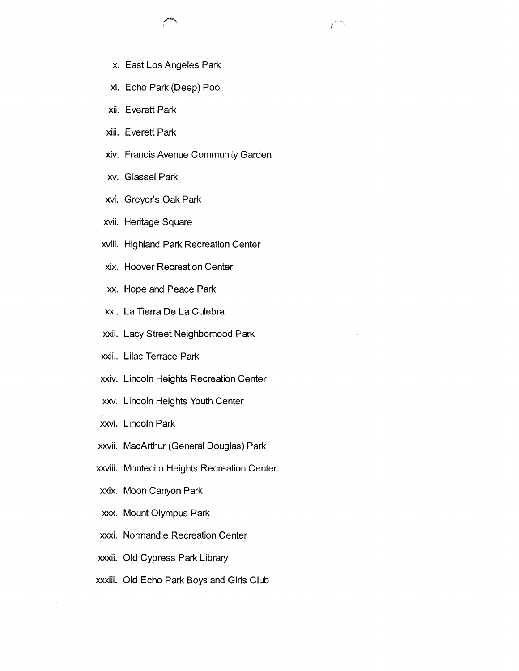- 
- x. East Los Angeles Park
- **XI.** Echo Park (Deep) Pool
- **XII.** Everett Park
- **XIII.** Everett Park
- **XIV.** Francis Avenue Community Garden
- xv. Glassel Park
- **XVI.** Greyer's Oak Park
- **XVII.** Heritage Square
- **XVIII.** Highland Park Recreation Center
- **XIX.** Hoover Recreation Center
- xx. Hope and Peace Park
- **XXI.** La Tierra De La Culebra
- **XXII.** Lacy Street Neighborhood Park
- **XXIII.** Lilac Terrace Park
- **XXIV.** Lincoln Heights Recreation Center
- xxv. Lincoln Heights Youth Center
- **XXVI.** Lincoln Park
- **XXVII.** MacArthur (General Douglas) Park
- **XXVIII.** Montecito Heights Recreation Center
- **XXIX.** Moon Canyon Park
- xxx. Mount Olympus Park
- **XXXI.** Normandie Recreation Center
- **XXXII.** Old Cypress Park Library
- **XXXIII.** Old Echo Park Boys and Girls Club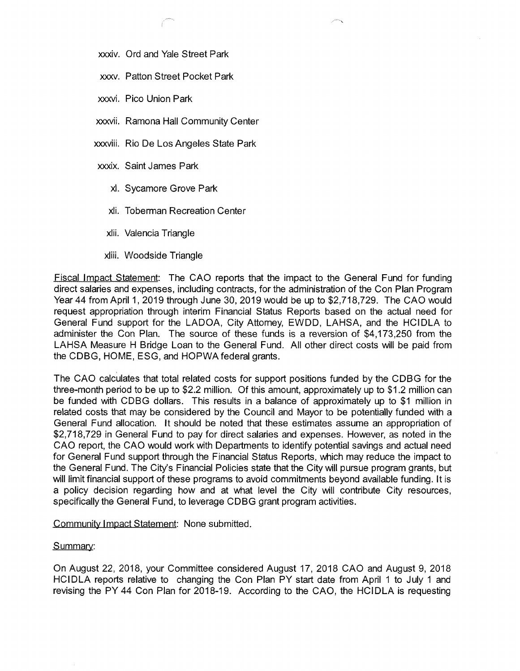- xxxiv. Ord and Yale Street Park
- xxxv. Patton Street Pocket Park
- xxxvi. Pico Union Park
- **XXXVII.** Ramona Hall Community Center
- **XXXVIII.** Rio De Los Angeles State Park
- xxxix. Saint James Park
	- **xl.** Sycamore Grove Park
	- xli. Toberman Recreation Center
	- xlii. Valencia Triangle
	- xliii. Woodside Triangle

Fiscal Impact Statement: The CAO reports that the impact to the General Fund for funding direct salaries and expenses, including contracts, for the administration of the Con Plan Program Year 44 from April 1,2019 through June 30, 2019 would be up to \$2,718,729. The CAO would request appropriation through interim Financial Status Reports based on the actual need for General Fund support for the LADOA, City Attorney, EWDD, LAHSA, and the HCIDLA to administer the Con Plan. The source of these funds is a reversion of \$4,173,250 from the LAHSA Measure H Bridge Loan to the General Fund. All other direct costs will be paid from the CDBG, HOME, ESG, and HOPWA federal grants.

The CAO calculates that total related costs for support positions funded by the CDBG for the three-month period to be up to \$2.2 million. Of this amount, approximately up to \$1.2 million can be funded with CDBG dollars. This results in a balance of approximately up to \$1 million in related costs that may be considered by the Council and Mayor to be potentially funded with a General Fund allocation. It should be noted that these estimates assume an appropriation of \$2,718,729 in General Fund to pay for direct salaries and expenses. However, as noted in the CAO report, the CAO would work with Departments to identify potential savings and actual need for General Fund support through the Financial Status Reports, which may reduce the impact to the General Fund. The City's Financial Policies state that the City will pursue program grants, but will limit financial support of these programs to avoid commitments beyond available funding. It is a policy decision regarding how and at what level the City will contribute City resources, specifically the General Fund, to leverage CDBG grant program activities.

Community Impact Statement: None submitted.

## Summary:

On August 22, 2018, your Committee considered August 17, 2018 CAO and August 9, 2018 HCIDLA reports relative to changing the Con Plan PY start date from April <sup>1</sup> to July <sup>1</sup> and revising the PY 44 Con Plan for 2018-19. According to the CAO, the HCIDLA is requesting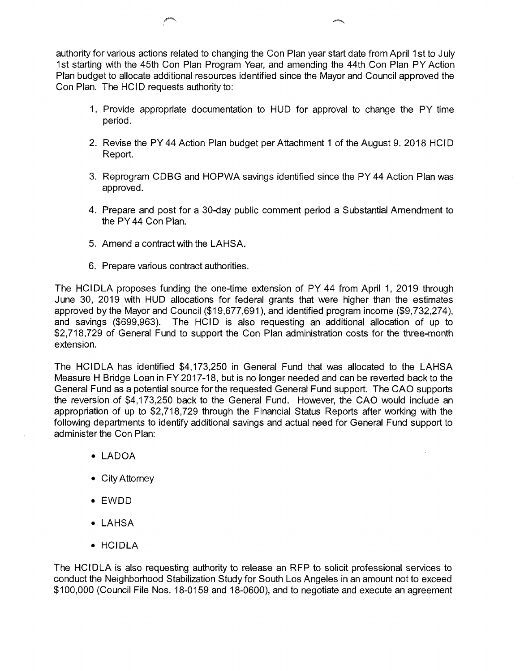authority for various actions related to changing the Con Plan year start date from April <sup>1</sup> st to July 1st starting with the 45th Con Plan Program Year, and amending the 44th Con Plan PY Action Plan budget to allocate additional resources identified since the Mayor and Council approved the Con Plan. The HCID requests authority to:

1**.** Provide appropriate documentation to HUD for approval to change the PY time period.

*,r\*\*\*\*\*

- 2. Revise the PY 44 Action Plan budget per Attachment 1 of the August 9. 2018 HCID Report.
- 3. Reprogram CDBG and HOPWA savings identified since the PY 44 Action Plan was approved.
- 4. Prepare and post for a 30-day public comment period a Substantial Amendment to the PY 44 Con Plan.
- 5. Amend a contract with the LAHSA.
- 6**.** Prepare various contract authorities.

The HCIDLA proposes funding the one-time extension of PY 44 from April 1, 2019 through June 30, 2019 with HUD allocations for federal grants that were higher than the estimates approved by the Mayor and Council (\$19,677,691), and identified program income (\$9,732,274), and savings (\$699,963). The HCID is also requesting an additional allocation of up to \$2,718,729 of General Fund to support the Con Plan administration costs for the three-month extension.

The HCIDLA has identified \$4,173,250 in General Fund that was allocated to the LAHSA Measure H Bridge Loan in FY 2017-18, but is no longer needed and can be reverted back to the General Fund as a potential source for the requested General Fund support. The CAO supports the reversion of \$4,173,250 back to the General Fund. However, the CAO would include an appropriation of up to \$2,718,729 through the Financial Status Reports after working with the following departments to identify additional savings and actual need for General Fund support to administer the Con Plan:

- LADOA
- City Attorney
- EWDD
- LAHSA
- HCIDLA

The HCIDLA is also requesting authority to release an RFP to solicit professional services to conduct the Neighborhood Stabilization Study for South Los Angeles in an amount not to exceed \$100,000 (Council File Nos. 18-0159 and 18-0600), and to negotiate and execute an agreement